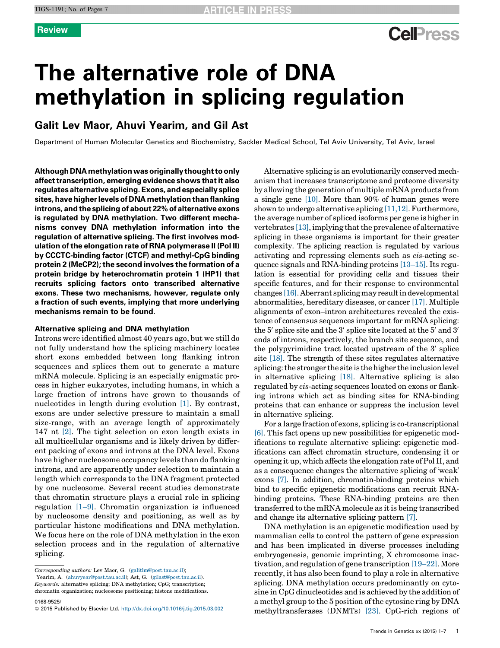# **Cell**<sup>ress</sup>

# The alternative role of DNA methylation in splicing regulation

# Galit Lev Maor, Ahuvi Yearim, and Gil Ast

Department of Human Molecular Genetics and Biochemistry, Sackler Medical School, Tel Aviv University, Tel Aviv, Israel

Although DNAmethylationwasoriginallythoughttoonly affect transcription, emerging evidence shows that it also regulates alternative splicing. Exons, and especially splice sites, have higher levels of DNA methylation than flanking introns, and the splicing of about 22% of alternative exons is regulated by DNA methylation. Two different mechanisms convey DNA methylation information into the regulation of alternative splicing. The first involves modulation ofthe elongation rate of RNA polymerase II (Pol II) by CCCTC-binding factor (CTCF) and methyl-CpG binding protein 2 (MeCP2); the second involves the formation of a protein bridge by heterochromatin protein 1 (HP1) that recruits splicing factors onto transcribed alternative exons. These two mechanisms, however, regulate only a fraction of such events, implying that more underlying mechanisms remain to be found.

## Alternative splicing and DNA methylation

Introns were identified almost 40 years ago, but we still do not fully understand how the splicing machinery locates short exons embedded between long flanking intron sequences and splices them out to generate a mature mRNA molecule. Splicing is an especially enigmatic process in higher eukaryotes, including humans, in which a large fraction of introns have grown to thousands of nucleotides in length during evolution [\[1\]](#page-5-0). By contrast, exons are under selective pressure to maintain a small size-range, with an average length of approximately 147 nt [\[2\].](#page-5-0) The tight selection on exon length exists in all multicellular organisms and is likely driven by different packing of exons and introns at the DNA level. Exons have higher nucleosome occupancy levels than do flanking introns, and are apparently under selection to maintain a length which corresponds to the DNA fragment protected by one nucleosome. Several recent studies demonstrate that chromatin structure plays a crucial role in splicing regulation [\[1–9\]](#page-5-0). Chromatin organization is influenced by nucleosome density and positioning, as well as by particular histone modifications and DNA methylation. We focus here on the role of DNA methylation in the exon selection process and in the regulation of alternative splicing.

Corresponding authors: Lev Maor, G. [\(galitlm@post.tau.ac.il](mailto:galitlm@post.tau.ac.il)); Yearim, A. [\(ahuvyear@post.tau.ac.il\)](mailto:ahuvyear@post.tau.ac.il); Ast, G. [\(gilast@post.tau.ac.il](mailto:gilast@post.tau.ac.il)). Keywords: alternative splicing; DNA methylation; CpG; transcription;

chromatin organization; nucleosome positioning; histone modifications.

0168-9525/

Alternative splicing is an evolutionarily conserved mechanism that increases transcriptome and proteome diversity by allowing the generation of multiple mRNA products from a single gene [\[10\].](#page-5-0) More than 90% of human genes were shown to undergo alternative splicing [\[11,12\]](#page-5-0). Furthermore, the average number of spliced isoforms per gene is higher in vertebrates  $[13]$ , implying that the prevalence of alternative splicing in these organisms is important for their greater complexity. The splicing reaction is regulated by various activating and repressing elements such as cis-acting sequence signals and RNA-binding proteins [\[13–15\].](#page-5-0) Its regulation is essential for providing cells and tissues their specific features, and for their response to environmental changes [\[16\].](#page-5-0) Aberrant splicing may resultindevelopmental abnormalities, hereditary diseases, or cancer [\[17\].](#page-5-0) Multiple alignments of exon–intron architectures revealed the existence of consensus sequences important for mRNA splicing: the  $5'$  splice site and the  $3'$  splice site located at the  $5'$  and  $3'$ ends of introns, respectively, the branch site sequence, and the polypyrimidine tract located upstream of the  $3'$  splice site [\[18\].](#page-5-0) The strength of these sites regulates alternative splicing: the stronger the site is the higher the inclusion level in alternative splicing [\[18\].](#page-5-0) Alternative splicing is also regulated by cis-acting sequences located on exons or flanking introns which act as binding sites for RNA-binding proteins that can enhance or suppress the inclusion level in alternative splicing.

For a large fraction of exons, splicing is co-transcriptional [\[6\].](#page-5-0) This fact opens up new possibilities for epigenetic modifications to regulate alternative splicing: epigenetic modifications can affect chromatin structure, condensing it or opening it up, which affects the elongation rate of Pol II, and as a consequence changes the alternative splicing of 'weak' exons [\[7\]](#page-5-0). In addition, chromatin-binding proteins which bind to specific epigenetic modifications can recruit RNAbinding proteins. These RNA-binding proteins are then transferred to the mRNA molecule as it is being transcribed and change its alternative splicing pattern [\[7\]](#page-5-0).

DNA methylation is an epigenetic modification used by mammalian cells to control the pattern of gene expression and has been implicated in diverse processes including embryogenesis, genomic imprinting, X chromosome inactivation, and regulation of gene transcription [\[19–22\].](#page-5-0) More recently, it has also been found to play a role in alternative splicing. DNA methylation occurs predominantly on cytosine in CpG dinucleotides and is achieved by the addition of a methyl group to the 5 position of the cytosine ring by DNA methyltransferases (DNMTs) [\[23\]](#page-5-0). CpG-rich regions of

<sup>© 2015</sup> Published by Elsevier Ltd. <http://dx.doi.org/10.1016/j.tig.2015.03.002>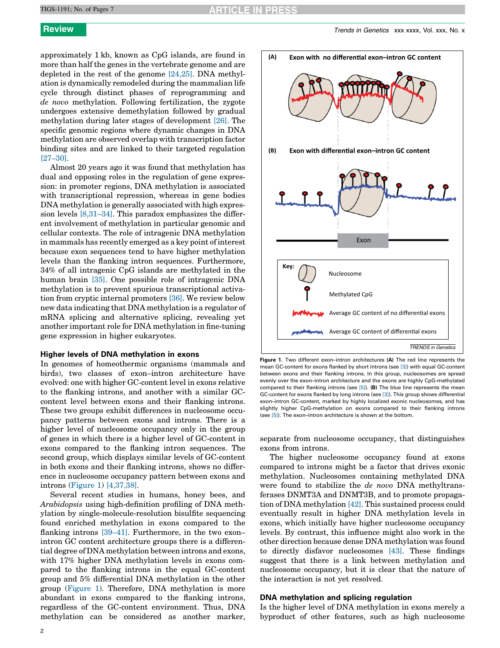approximately 1 kb, known as CpG islands, are found in more than half the genes in the vertebrate genome and are depleted in the rest of the genome [\[24,25\].](#page-5-0) DNA methylation is dynamically remodeled during the mammalian life cycle through distinct phases of reprogramming and de novo methylation. Following fertilization, the zygote undergoes extensive demethylation followed by gradual methylation during later stages of development [\[26\]](#page-5-0). The specific genomic regions where dynamic changes in DNA methylation are observed overlap with transcription factor binding sites and are linked to their targeted regulation [\[27–30\].](#page-5-0)

Almost 20 years ago it was found that methylation has dual and opposing roles in the regulation of gene expression: in promoter regions, DNA methylation is associated with transcriptional repression, whereas in gene bodies DNA methylation is generally associated with high expression levels [\[8,31–34\].](#page-5-0) This paradox emphasizes the different involvement of methylation in particular genomic and cellular contexts. The role of intragenic DNA methylation in mammals has recently emerged as a key point of interest because exon sequences tend to have higher methylation levels than the flanking intron sequences. Furthermore, 34% of all intragenic CpG islands are methylated in the human brain [\[35\].](#page-5-0) One possible role of intragenic DNA methylation is to prevent spurious transcriptional activation from cryptic internal promoters [\[36\].](#page-5-0) We review below new data indicating that DNA methylation is a regulator of mRNA splicing and alternative splicing, revealing yet another important role for DNA methylation in fine-tuning gene expression in higher eukaryotes.

## Higher levels of DNA methylation in exons

In genomes of homeothermic organisms (mammals and birds), two classes of exon–intron architecture have evolved: one with higher GC-content level in exons relative to the flanking introns, and another with a similar GCcontent level between exons and their flanking introns. These two groups exhibit differences in nucleosome occupancy patterns between exons and introns. There is a higher level of nucleosome occupancy only in the group of genes in which there is a higher level of GC-content in exons compared to the flanking intron sequences. The second group, which displays similar levels of GC-content in both exons and their flanking introns, shows no difference in nucleosome occupancy pattern between exons and introns (Figure 1) [\[4,37,38\].](#page-5-0)

Several recent studies in humans, honey bees, and Arabidopsis using high-definition profiling of DNA methylation by single-molecule-resolution bisulfite sequencing found enriched methylation in exons compared to the flanking introns [\[39–41\]](#page-5-0). Furthermore, in the two exon– intron GC content architecture groups there is a differential degree of DNA methylation between introns and exons, with 17% higher DNA methylation levels in exons compared to the flanking introns in the equal GC-content group and 5% differential DNA methylation in the other group (Figure 1). Therefore, DNA methylation is more abundant in exons compared to the flanking introns, regardless of the GC-content environment. Thus, DNA methylation can be considered as another marker,



Figure 1. Two different exon–intron architectures (A) The red line represents the mean GC-content for exons flanked by short introns (see [\[3\]](#page-5-0)) with equal GC-content between exons and their flanking introns. In this group, nucleosomes are spread evenly over the exon–intron architecture and the exons are highly CpG-methylated compared to their flanking introns (see  $[5]$ ). (B) The blue line represents the mean GC-content for exons flanked by long introns (see [\[3\]](#page-5-0)). This group shows differential exon–intron GC-content, marked by highly localized exonic nucleosomes, and has slightly higher CpG-methylation on exons compared to their flanking introns (see [\[5\]](#page-5-0)). The exon–intron architecture is shown at the bottom.

separate from nucleosome occupancy, that distinguishes exons from introns.

The higher nucleosome occupancy found at exons compared to introns might be a factor that drives exonic methylation. Nucleosomes containing methylated DNA were found to stabilize the de novo DNA methyltransferases DNMT3A and DNMT3B, and to promote propagation of DNA methylation [\[42\].](#page-5-0) This sustained process could eventually result in higher DNA methylation levels in exons, which initially have higher nucleosome occupancy levels. By contrast, this influence might also work in the other direction because dense DNA methylation was found to directly disfavor nucleosomes [\[43\].](#page-5-0) These findings suggest that there is a link between methylation and nucleosome occupancy, but it is clear that the nature of the interaction is not yet resolved.

# DNA methylation and splicing regulation

Is the higher level of DNA methylation in exons merely a byproduct of other features, such as high nucleosome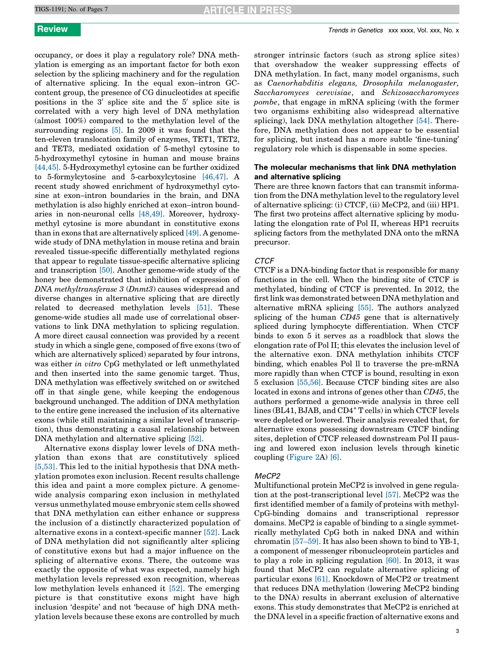occupancy, or does it play a regulatory role? DNA methylation is emerging as an important factor for both exon selection by the splicing machinery and for the regulation of alternative splicing. In the equal exon–intron GCcontent group, the presence of CG dinucleotides at specific positions in the  $3'$  splice site and the  $5'$  splice site is correlated with a very high level of DNA methylation (almost 100%) compared to the methylation level of the surrounding regions [\[5\]](#page-5-0). In 2009 it was found that the ten-eleven translocation family of enzymes, TET1, TET2, and TET3, mediated oxidation of 5-methyl cytosine to 5-hydroxymethyl cytosine in human and mouse brains [\[44,45\]](#page-5-0). 5-Hydroxymethyl cytosine can be further oxidized to 5-formylcytosine and 5-carboxylcytosine [\[46,47\]](#page-5-0). A recent study showed enrichment of hydroxymethyl cytosine at exon–intron boundaries in the brain, and DNA methylation is also highly enriched at exon–intron boundaries in non-neuronal cells [\[48,49\]](#page-5-0). Moreover, hydroxymethyl cytosine is more abundant in constitutive exons than in exons that are alternatively spliced [\[49\]](#page-5-0). A genomewide study of DNA methylation in mouse retina and brain revealed tissue-specific differentially methylated regions that appear to regulate tissue-specific alternative splicing and transcription [\[50\]](#page-5-0). Another genome-wide study of the honey bee demonstrated that inhibition of expression of DNA methyltransferase 3 (Dnmt3) causes widespread and diverse changes in alternative splicing that are directly related to decreased methylation levels [\[51\]](#page-5-0). These genome-wide studies all made use of correlational observations to link DNA methylation to splicing regulation. A more direct causal connection was provided by a recent study in which a single gene, composed of five exons (two of which are alternatively spliced) separated by four introns, was either *in vitro* CpG methylated or left unmethylated and then inserted into the same genomic target. Thus, DNA methylation was effectively switched on or switched off in that single gene, while keeping the endogenous background unchanged. The addition of DNA methylation to the entire gene increased the inclusion of its alternative exons (while still maintaining a similar level of transcription), thus demonstrating a causal relationship between DNA methylation and alternative splicing [\[52\]](#page-5-0).

Alternative exons display lower levels of DNA methylation than exons that are constitutively spliced [\[5,53\].](#page-5-0) This led to the initial hypothesis that DNA methylation promotes exon inclusion. Recent results challenge this idea and paint a more complex picture. A genomewide analysis comparing exon inclusion in methylated versus unmethylated mouse embryonic stem cells showed that DNA methylation can either enhance or suppress the inclusion of a distinctly characterized population of alternative exons in a context-specific manner [\[52\].](#page-5-0) Lack of DNA methylation did not significantly alter splicing of constitutive exons but had a major influence on the splicing of alternative exons. There, the outcome was exactly the opposite of what was expected, namely high methylation levels repressed exon recognition, whereas low methylation levels enhanced it [\[52\]](#page-5-0). The emerging picture is that constitutive exons might have high inclusion 'despite' and not 'because of' high DNA methylation levels because these exons are controlled by much

stronger intrinsic factors (such as strong splice sites) that overshadow the weaker suppressing effects of DNA methylation. In fact, many model organisms, such as Caenorhabditis elegans, Drosophila melanogaster, Saccharomyces cerevisiae, and Schizosaccharomyces pombe, that engage in mRNA splicing (with the former two organisms exhibiting also widespread alternative splicing), lack DNA methylation altogether [\[54\]](#page-6-0). Therefore, DNA methylation does not appear to be essential for splicing, but instead has a more subtle 'fine-tuning' regulatory role which is dispensable in some species.

# The molecular mechanisms that link DNA methylation and alternative splicing

There are three known factors that can transmit information from the DNA methylation level to the regulatory level of alternative splicing: (i) CTCF, (ii) MeCP2, and (iii) HP1. The first two proteins affect alternative splicing by modulating the elongation rate of Pol II, whereas HP1 recruits splicing factors from the methylated DNA onto the mRNA precursor.

# **CTCF**

CTCF is a DNA-binding factor that is responsible for many functions in the cell. When the binding site of CTCF is methylated, binding of CTCF is prevented. In 2012, the firstlink was demonstrated between DNA methylation and alternative mRNA splicing [\[55\]](#page-6-0). The authors analyzed splicing of the human CD45 gene that is alternatively spliced during lymphocyte differentiation. When CTCF binds to exon 5 it serves as a roadblock that slows the elongation rate of Pol II; this elevates the inclusion level of the alternative exon. DNA methylation inhibits CTCF binding, which enables Pol ll to traverse the pre-mRNA more rapidly than when CTCF is bound, resulting in exon 5 exclusion [\[55,56\]](#page-6-0). Because CTCF binding sites are also located in exons and introns of genes other than CD45, the authors performed a genome-wide analysis in three cell lines (BL41, BJAB, and CD4<sup>+</sup> T cells) in which CTCF levels were depleted or lowered. Their analysis revealed that, for alternative exons possessing downstream CTCF binding sites, depletion of CTCF released downstream Pol II pausing and lowered exon inclusion levels through kinetic coupling [\(Figure](#page-3-0) 2A) [\[6\].](#page-5-0)

## MeCP2

Multifunctional protein MeCP2 is involved in gene regulation at the post-transcriptional level [\[57\].](#page-6-0) MeCP2 was the first identified member of a family of proteins with methyl-CpG-binding domains and transcriptional repressor domains. MeCP2 is capable of binding to a single symmetrically methylated CpG both in naked DNA and within chromatin [\[57–59\].](#page-6-0) It has also been shown to bind to YB-1, a component of messenger ribonucleoprotein particles and to play a role in splicing regulation [\[60\]](#page-6-0). In 2013, it was found that MeCP2 can regulate alternative splicing of particular exons [\[61\]](#page-6-0). Knockdown of MeCP2 or treatment that reduces DNA methylation (lowering MeCP2 binding to the DNA) results in aberrant exclusion of alternative exons. This study demonstrates that MeCP2 is enriched at the DNA level in a specific fraction of alternative exons and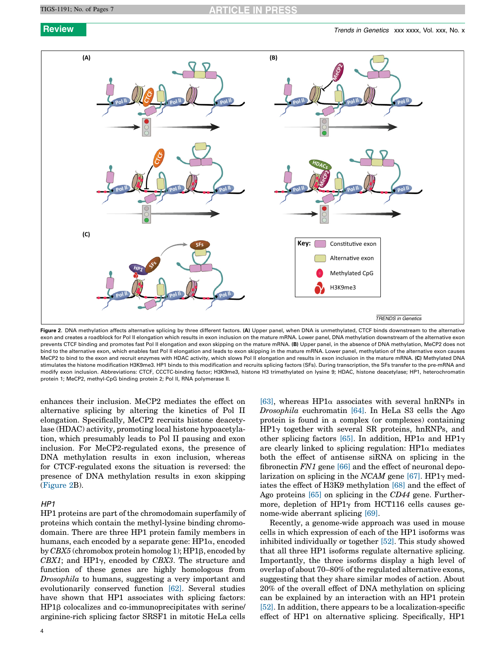<span id="page-3-0"></span>

Figure 2. DNA methylation affects alternative splicing by three different factors. (A) Upper panel, when DNA is unmethylated, CTCF binds downstream to the alternative exon and creates a roadblock for Pol II elongation which results in exon inclusion on the mature mRNA. Lower panel, DNA methylation downstream of the alternative exon prevents CTCF binding and promotes fast Pol II elongation and exon skipping on the mature mRNA. (B) Upper panel, in the absence of DNA methylation, MeCP2 does not bind to the alternative exon, which enables fast Pol II elongation and leads to exon skipping in the mature mRNA. Lower panel, methylation of the alternative exon causes MeCP2 to bind to the exon and recruit enzymes with HDAC activity, which slows Pol II elongation and results in exon inclusion in the mature mRNA. (C) Methylated DNA stimulates the histone modification H3K9me3. HP1 binds to this modification and recruits splicing factors (SFs). During transcription, the SFs transfer to the pre-mRNA and modify exon inclusion. Abbreviations: CTCF, CCCTC-binding factor; H3K9me3, histone H3 trimethylated on lysine 9; HDAC, histone deacetylase; HP1, heterochromatin protein 1; MeCP2, methyl-CpG binding protein 2; Pol II, RNA polymerase II.

enhances their inclusion. MeCP2 mediates the effect on alternative splicing by altering the kinetics of Pol II elongation. Specifically, MeCP2 recruits histone deacetylase (HDAC) activity, promoting local histone hypoacetylation, which presumably leads to Pol II pausing and exon inclusion. For MeCP2-regulated exons, the presence of DNA methylation results in exon inclusion, whereas for CTCF-regulated exons the situation is reversed: the presence of DNA methylation results in exon skipping (Figure 2B).

# H<sub>P1</sub>

HP1 proteins are part of the chromodomain superfamily of proteins which contain the methyl-lysine binding chromodomain. There are three HP1 protein family members in humans, each encoded by a separate gene:  $HP1\alpha$ , encoded by  $CBX5$  (chromobox protein homolog 1);  $HP1\beta$ , encoded by CBX1; and HP1 $\gamma$ , encoded by CBX3. The structure and function of these genes are highly homologous from Drosophila to humans, suggesting a very important and evolutionarily conserved function [\[62\].](#page-6-0) Several studies have shown that HP1 associates with splicing factors:  $HP1\beta$  colocalizes and co-immunoprecipitates with serine/ arginine-rich splicing factor SRSF1 in mitotic HeLa cells [\[63\]](#page-6-0), whereas HP1 $\alpha$  associates with several hnRNPs in Drosophila euchromatin [\[64\].](#page-6-0) In HeLa S3 cells the Ago protein is found in a complex (or complexes) containing  $HP1\gamma$  together with several SR proteins, hnRNPs, and other splicing factors [\[65\].](#page-6-0) In addition, HP1 $\alpha$  and HP1 $\gamma$ are clearly linked to splicing regulation:  $HP1\alpha$  mediates both the effect of antisense siRNA on splicing in the fibronectin FN1 gene [\[66\]](#page-6-0) and the effect of neuronal depolarization on splicing in the NCAM gene  $[67]$ . HP1 $\gamma$  mediates the effect of H3K9 methylation [\[68\]](#page-6-0) and the effect of Ago proteins [\[65\]](#page-6-0) on splicing in the CD44 gene. Furthermore, depletion of HP1 $\gamma$  from HCT116 cells causes genome-wide aberrant splicing [\[69\]](#page-6-0).

Recently, a genome-wide approach was used in mouse cells in which expression of each of the HP1 isoforms was inhibited individually or together [\[52\]](#page-5-0). This study showed that all three HP1 isoforms regulate alternative splicing. Importantly, the three isoforms display a high level of overlap of about 70–80% of the regulated alternative exons, suggesting that they share similar modes of action. About 20% of the overall effect of DNA methylation on splicing can be explained by an interaction with an HP1 protein [\[52\]](#page-5-0). In addition, there appears to be a localization-specific effect of HP1 on alternative splicing. Specifically, HP1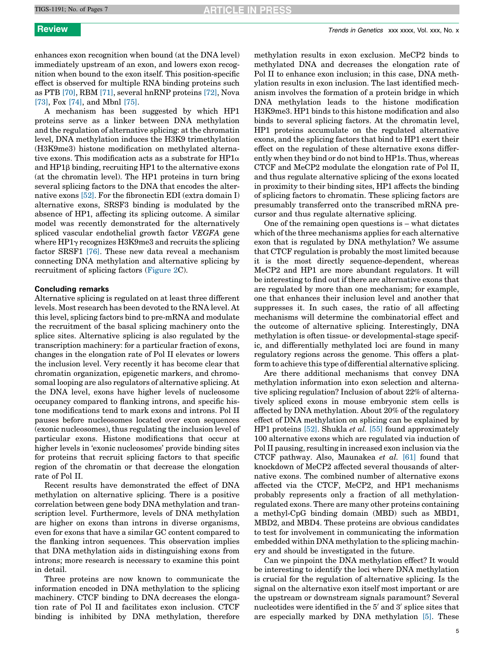enhances exon recognition when bound (at the DNA level) immediately upstream of an exon, and lowers exon recognition when bound to the exon itself. This position-specific effect is observed for multiple RNA binding proteins such as PTB [\[70\],](#page-6-0) RBM [\[71\],](#page-6-0) several hnRNP proteins [\[72\]](#page-6-0), Nova [\[73\]](#page-6-0), Fox [\[74\],](#page-6-0) and Mbnl [\[75\]](#page-6-0).

A mechanism has been suggested by which HP1 proteins serve as a linker between DNA methylation and the regulation of alternative splicing: at the chromatin level, DNA methylation induces the H3K9 trimethylation (H3K9me3) histone modification on methylated alternative exons. This modification acts as a substrate for  $HP1\alpha$ and HP1b binding, recruiting HP1 to the alternative exons (at the chromatin level). The HP1 proteins in turn bring several splicing factors to the DNA that encodes the alternative exons [\[52\].](#page-5-0) For the fibronectin EDI (extra domain I) alternative exons, SRSF3 binding is modulated by the absence of HP1, affecting its splicing outcome. A similar model was recently demonstrated for the alternatively spliced vascular endothelial growth factor VEGFA gene where  $HP1\gamma$  recognizes H3K9me3 and recruits the splicing factor SRSF1 [\[76\]](#page-6-0). These new data reveal a mechanism connecting DNA methylation and alternative splicing by recruitment of splicing factors ([Figure](#page-3-0) 2C).

# Concluding remarks

Alternative splicing is regulated on at least three different levels. Most research has been devoted to the RNA level. At this level, splicing factors bind to pre-mRNA and modulate the recruitment of the basal splicing machinery onto the splice sites. Alternative splicing is also regulated by the transcription machinery: for a particular fraction of exons, changes in the elongation rate of Pol II elevates or lowers the inclusion level. Very recently it has become clear that chromatin organization, epigenetic markers, and chromosomal looping are also regulators of alternative splicing. At the DNA level, exons have higher levels of nucleosome occupancy compared to flanking introns, and specific histone modifications tend to mark exons and introns. Pol II pauses before nucleosomes located over exon sequences (exonic nucleosomes), thus regulating the inclusion level of particular exons. Histone modifications that occur at higher levels in 'exonic nucleosomes' provide binding sites for proteins that recruit splicing factors to that specific region of the chromatin or that decrease the elongation rate of Pol II.

Recent results have demonstrated the effect of DNA methylation on alternative splicing. There is a positive correlation between gene body DNA methylation and transcription level. Furthermore, levels of DNA methylation are higher on exons than introns in diverse organisms, even for exons that have a similar GC content compared to the flanking intron sequences. This observation implies that DNA methylation aids in distinguishing exons from introns; more research is necessary to examine this point in detail.

Three proteins are now known to communicate the information encoded in DNA methylation to the splicing machinery. CTCF binding to DNA decreases the elongation rate of Pol II and facilitates exon inclusion. CTCF binding is inhibited by DNA methylation, therefore methylation results in exon exclusion. MeCP2 binds to methylated DNA and decreases the elongation rate of Pol II to enhance exon inclusion; in this case, DNA methylation results in exon inclusion. The last identified mechanism involves the formation of a protein bridge in which DNA methylation leads to the histone modification H3K9me3. HP1 binds to this histone modification and also binds to several splicing factors. At the chromatin level, HP1 proteins accumulate on the regulated alternative exons, and the splicing factors that bind to HP1 exert their effect on the regulation of these alternative exons differently when they bind or do not bind to HP1s. Thus, whereas CTCF and MeCP2 modulate the elongation rate of Pol II, and thus regulate alternative splicing of the exons located in proximity to their binding sites, HP1 affects the binding of splicing factors to chromatin. These splicing factors are presumably transferred onto the transcribed mRNA precursor and thus regulate alternative splicing.

One of the remaining open questions is – what dictates which of the three mechanisms applies for each alternative exon that is regulated by DNA methylation? We assume that CTCF regulation is probably the most limited because it is the most directly sequence-dependent, whereas MeCP2 and HP1 are more abundant regulators. It will be interesting to find out if there are alternative exons that are regulated by more than one mechanism; for example, one that enhances their inclusion level and another that suppresses it. In such cases, the ratio of all affecting mechanisms will determine the combinatorial effect and the outcome of alternative splicing. Interestingly, DNA methylation is often tissue- or developmental-stage specific, and differentially methylated loci are found in many regulatory regions across the genome. This offers a platform to achieve this type of differential alternative splicing.

Are there additional mechanisms that convey DNA methylation information into exon selection and alternative splicing regulation? Inclusion of about 22% of alternatively spliced exons in mouse embryonic stem cells is affected by DNA methylation. About 20% of the regulatory effect of DNA methylation on splicing can be explained by HP1 proteins [\[52\].](#page-5-0) Shukla et al. [\[55\]](#page-6-0) found approximately 100 alternative exons which are regulated via induction of Pol II pausing, resulting in increased exon inclusion via the CTCF pathway. Also, Maunakea et al. [\[61\]](#page-6-0) found that knockdown of MeCP2 affected several thousands of alternative exons. The combined number of alternative exons affected via the CTCF, MeCP2, and HP1 mechanisms probably represents only a fraction of all methylationregulated exons. There are many other proteins containing a methyl-CpG binding domain (MBD) such as MBD1, MBD2, and MBD4. These proteins are obvious candidates to test for involvement in communicating the information embedded within DNA methylation to the splicing machinery and should be investigated in the future.

Can we pinpoint the DNA methylation effect? It would be interesting to identify the loci where DNA methylation is crucial for the regulation of alternative splicing. Is the signal on the alternative exon itself most important or are the upstream or downstream signals paramount? Several nucleotides were identified in the  $5'$  and  $3'$  splice sites that are especially marked by DNA methylation [\[5\].](#page-5-0) These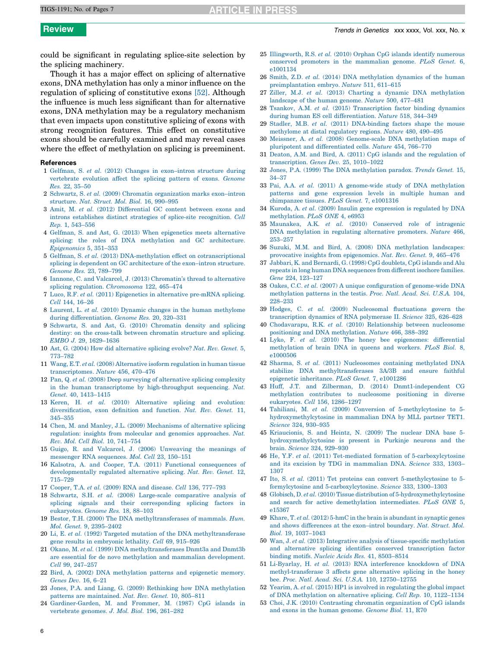# <span id="page-5-0"></span>TIGS-1191; No. of Pages 7

could be significant in regulating splice-site selection by the splicing machinery.

Though it has a major effect on splicing of alternative exons, DNA methylation has only a minor influence on the regulation of splicing of constitutive exons [52]. Although the influence is much less significant than for alternative exons, DNA methylation may be a regulatory mechanism that even impacts upon constitutive splicing of exons with strong recognition features. This effect on constitutive exons should be carefully examined and may reveal cases where the effect of methylation on splicing is preeminent.

# References

- 1 Gelfman, S. et al. (2012) Changes in [exon–intron](http://refhub.elsevier.com/S0168-9525(15)00040-2/sbref0385) structure during [vertebrate](http://refhub.elsevier.com/S0168-9525(15)00040-2/sbref0385) evolution affect the splicing pattern of exons. Genome Res. 22, [35–50](http://refhub.elsevier.com/S0168-9525(15)00040-2/sbref0385)
- 2 Schwartz, S. et al. (2009) Chromatin [organization](http://refhub.elsevier.com/S0168-9525(15)00040-2/sbref0390) marks exon–intron [structure.](http://refhub.elsevier.com/S0168-9525(15)00040-2/sbref0390) Nat. Struct. Mol. Biol. 16, 990–995
- 3 Amit, M. et al. (2012) [Differential](http://refhub.elsevier.com/S0168-9525(15)00040-2/sbref0395) GC content between exons and introns establishes distinct strategies of splice-site [recognition.](http://refhub.elsevier.com/S0168-9525(15)00040-2/sbref0395) Cell Rep. 1, [543–556](http://refhub.elsevier.com/S0168-9525(15)00040-2/sbref0395)
- 4 Gelfman, S. and Ast, G. (2013) When [epigenetics](http://refhub.elsevier.com/S0168-9525(15)00040-2/sbref0400) meets alternative splicing: the roles of DNA methylation and GC [architecture.](http://refhub.elsevier.com/S0168-9525(15)00040-2/sbref0400) [Epigenomics](http://refhub.elsevier.com/S0168-9525(15)00040-2/sbref0400) 5, 351–353
- 5 Gelfman, S. et al. (2013) [DNA-methylation](http://refhub.elsevier.com/S0168-9525(15)00040-2/sbref0405) effect on cotranscriptional splicing is dependent on GC [architecture](http://refhub.elsevier.com/S0168-9525(15)00040-2/sbref0405) of the exon–intron structure. Genome Res. 23, [789–799](http://refhub.elsevier.com/S0168-9525(15)00040-2/sbref0405)
- 6 Iannone, C. and Valcarcel, J. (2013) [Chromatin's](http://refhub.elsevier.com/S0168-9525(15)00040-2/sbref0410) thread to alternative splicing regulation. [Chromosoma](http://refhub.elsevier.com/S0168-9525(15)00040-2/sbref0410) 122, 465–474
- 7 Luco, R.F. et al. (2011) [Epigenetics](http://refhub.elsevier.com/S0168-9525(15)00040-2/sbref0415) in alternative pre-mRNA splicing. Cell 144, [16–26](http://refhub.elsevier.com/S0168-9525(15)00040-2/sbref0415)
- 8 Laurent, L. et al. (2010) Dynamic changes in the human [methylome](http://refhub.elsevier.com/S0168-9525(15)00040-2/sbref0420) during [differentiation.](http://refhub.elsevier.com/S0168-9525(15)00040-2/sbref0420) Genome Res. 20, 320–331
- 9 Schwartz, S. and Ast, G. (2010) [Chromatin](http://refhub.elsevier.com/S0168-9525(15)00040-2/sbref0425) density and splicing destiny: on the cross-talk between [chromatin](http://refhub.elsevier.com/S0168-9525(15)00040-2/sbref0425) structure and splicing. EMBO J. 29, [1629–1636](http://refhub.elsevier.com/S0168-9525(15)00040-2/sbref0425)
- 10 Ast, G. (2004) How did [alternative](http://refhub.elsevier.com/S0168-9525(15)00040-2/sbref0430) splicing evolve? Nat. Rev. Genet. 5, [773–782](http://refhub.elsevier.com/S0168-9525(15)00040-2/sbref0430)
- 11 Wang, E.T. et al. (2008) [Alternative](http://refhub.elsevier.com/S0168-9525(15)00040-2/sbref0435) isoform regulation in human tissue [transcriptomes.](http://refhub.elsevier.com/S0168-9525(15)00040-2/sbref0435) Nature 456, 470–476
- 12 Pan, Q. et al. (2008) Deep surveying of [alternative](http://refhub.elsevier.com/S0168-9525(15)00040-2/sbref0440) splicing complexity in the human transcriptome by [high-throughput](http://refhub.elsevier.com/S0168-9525(15)00040-2/sbref0440) sequencing. Nat. Genet. 40, [1413–1415](http://refhub.elsevier.com/S0168-9525(15)00040-2/sbref0440)
- 13 Keren, H. et al. (2010) [Alternative](http://refhub.elsevier.com/S0168-9525(15)00040-2/sbref0445) splicing and evolution: [diversification,](http://refhub.elsevier.com/S0168-9525(15)00040-2/sbref0445) exon definition and function. Nat. Rev. Genet. 11, [345–355](http://refhub.elsevier.com/S0168-9525(15)00040-2/sbref0445)
- 14 Chen, M. and Manley, J.L. (2009) [Mechanisms](http://refhub.elsevier.com/S0168-9525(15)00040-2/sbref0450) of alternative splicing regulation: insights from molecular and genomics [approaches.](http://refhub.elsevier.com/S0168-9525(15)00040-2/sbref0450) Nat. Rev. Mol. Cell Biol. 10, [741–754](http://refhub.elsevier.com/S0168-9525(15)00040-2/sbref0450)
- 15 Guigo, R. and Valcarcel, J. (2006) [Unweaving](http://refhub.elsevier.com/S0168-9525(15)00040-2/sbref0455) the meanings of messenger RNA [sequences.](http://refhub.elsevier.com/S0168-9525(15)00040-2/sbref0455) Mol. Cell 23, 150–151
- 16 Kalsotra, A. and Cooper, T.A. (2011) Functional [consequences](http://refhub.elsevier.com/S0168-9525(15)00040-2/sbref0460) of [developmentally](http://refhub.elsevier.com/S0168-9525(15)00040-2/sbref0460) regulated alternative splicing. Nat. Rev. Genet. 12, [715–729](http://refhub.elsevier.com/S0168-9525(15)00040-2/sbref0460)
- 17 Cooper, T.A. et al. (2009) RNA and disease. Cell 136, [777–793](http://refhub.elsevier.com/S0168-9525(15)00040-2/sbref0465)
- 18 Schwartz, S.H. et al. (2008) Large-scale [comparative](http://refhub.elsevier.com/S0168-9525(15)00040-2/sbref0470) analysis of splicing signals and their [corresponding](http://refhub.elsevier.com/S0168-9525(15)00040-2/sbref0470) splicing factors in [eukaryotes.](http://refhub.elsevier.com/S0168-9525(15)00040-2/sbref0470) Genome Res. 18, 88–103
- 19 Bestor, T.H. (2000) The DNA [methyltransferases](http://refhub.elsevier.com/S0168-9525(15)00040-2/sbref0475) of mammals. Hum. Mol. Genet. 9, [2395–2402](http://refhub.elsevier.com/S0168-9525(15)00040-2/sbref0475)
- 20 Li, E. et al. (1992) Targeted mutation of the DNA [methyltransferase](http://refhub.elsevier.com/S0168-9525(15)00040-2/sbref0480) gene results in [embryonic](http://refhub.elsevier.com/S0168-9525(15)00040-2/sbref0480) lethality. Cell 69, 915–926
- 21 Okano, M. et al. (1999) DNA [methyltransferases](http://refhub.elsevier.com/S0168-9525(15)00040-2/sbref0485) Dnmt3a and Dnmt3b are essential for de novo methylation and mammalian [development.](http://refhub.elsevier.com/S0168-9525(15)00040-2/sbref0485) Cell 99, [247–257](http://refhub.elsevier.com/S0168-9525(15)00040-2/sbref0485)
- 22 Bird, A. (2002) DNA [methylation](http://refhub.elsevier.com/S0168-9525(15)00040-2/sbref0490) patterns and epigenetic memory. [Genes](http://refhub.elsevier.com/S0168-9525(15)00040-2/sbref0490) Dev. 16, 6–21
- 23 Jones, P.A. and Liang, G. (2009) Rethinking how DNA [methylation](http://refhub.elsevier.com/S0168-9525(15)00040-2/sbref0495) patterns are [maintained.](http://refhub.elsevier.com/S0168-9525(15)00040-2/sbref0495) Nat. Rev. Genet. 10, 805–811
- 24 [Gardiner-Garden,](http://refhub.elsevier.com/S0168-9525(15)00040-2/sbref0500) M. and Frommer, M. (1987) CpG islands in [vertebrate](http://refhub.elsevier.com/S0168-9525(15)00040-2/sbref0500) genomes. J. Mol. Biol. 196, 261–282
- 25 [Illingworth,](http://refhub.elsevier.com/S0168-9525(15)00040-2/sbref0505) R.S. et al. (2010) Orphan CpG islands identify numerous conserved promoters in the [mammalian](http://refhub.elsevier.com/S0168-9525(15)00040-2/sbref0505) genome. PLoS Genet. 6, [e1001134](http://refhub.elsevier.com/S0168-9525(15)00040-2/sbref0505)
- 26 Smith, Z.D. et al. (2014) DNA [methylation](http://refhub.elsevier.com/S0168-9525(15)00040-2/sbref0510) dynamics of the human [preimplantation](http://refhub.elsevier.com/S0168-9525(15)00040-2/sbref0510) embryo. Nature 511, 611–615
- 27 Ziller, M.J. et al. (2013) Charting a dynamic DNA [methylation](http://refhub.elsevier.com/S0168-9525(15)00040-2/sbref0515) [landscape](http://refhub.elsevier.com/S0168-9525(15)00040-2/sbref0515) of the human genome. Nature 500, 477–481
- 28 Tsankov, A.M. et al. (2015) [Transcription](http://refhub.elsevier.com/S0168-9525(15)00040-2/sbref0520) factor binding dynamics during human ES cell [differentiation.](http://refhub.elsevier.com/S0168-9525(15)00040-2/sbref0520) Nature 518, 344–349
- 29 Stadler, M.B. et al. (2011) [DNA-binding](http://refhub.elsevier.com/S0168-9525(15)00040-2/sbref0525) factors shape the mouse [methylome](http://refhub.elsevier.com/S0168-9525(15)00040-2/sbref0525) at distal regulatory regions. Nature 480, 490–495
- 30 Meissner, A. et al. (2008) [Genome-scale](http://refhub.elsevier.com/S0168-9525(15)00040-2/sbref0530) DNA methylation maps of pluripotent and [differentiated](http://refhub.elsevier.com/S0168-9525(15)00040-2/sbref0530) cells. Nature 454, 766–770
- 31 Deaton, A.M. and Bird, A. (2011) CpG islands and the [regulation](http://refhub.elsevier.com/S0168-9525(15)00040-2/sbref0535) of [transcription.](http://refhub.elsevier.com/S0168-9525(15)00040-2/sbref0535) Genes Dev. 25, 1010–1022
- 32 Jones, P.A. (1999) The DNA [methylation](http://refhub.elsevier.com/S0168-9525(15)00040-2/sbref0540) paradox. Trends Genet. 15, [34–37](http://refhub.elsevier.com/S0168-9525(15)00040-2/sbref0540)
- 33 Pai, A.A. et al. (2011) A [genome-wide](http://refhub.elsevier.com/S0168-9525(15)00040-2/sbref0545) study of DNA methylation patterns and gene [expression](http://refhub.elsevier.com/S0168-9525(15)00040-2/sbref0545) levels in multiple human and [chimpanzee](http://refhub.elsevier.com/S0168-9525(15)00040-2/sbref0545) tissues. PLoS Genet. 7, e1001316
- 34 Kuroda, A. et al. (2009) Insulin gene [expression](http://refhub.elsevier.com/S0168-9525(15)00040-2/sbref0550) is regulated by DNA [methylation.](http://refhub.elsevier.com/S0168-9525(15)00040-2/sbref0550) PLoS ONE 4, e6953
- 35 [Maunakea,](http://refhub.elsevier.com/S0168-9525(15)00040-2/sbref0555) A.K. et al. (2010) Conserved role of intragenic DNA [methylation](http://refhub.elsevier.com/S0168-9525(15)00040-2/sbref0555) in regulating alternative promoters. Nature 466, [253–257](http://refhub.elsevier.com/S0168-9525(15)00040-2/sbref0555)
- 36 Suzuki, M.M. and Bird, A. (2008) DNA [methylation](http://refhub.elsevier.com/S0168-9525(15)00040-2/sbref0560) landscapes: provocative insights from [epigenomics.](http://refhub.elsevier.com/S0168-9525(15)00040-2/sbref0560) Nat. Rev. Genet. 9, 465–476
- 37 Jabbari, K. and [Bernardi,](http://refhub.elsevier.com/S0168-9525(15)00040-2/sbref0565) G. (1998) CpG doublets, CpG islands and Alu repeats in long human DNA [sequences](http://refhub.elsevier.com/S0168-9525(15)00040-2/sbref0565) from different isochore families. Gene 224, [123–127](http://refhub.elsevier.com/S0168-9525(15)00040-2/sbref0565)
- 38 Oakes, C.C. et al. (2007) A unique [configuration](http://refhub.elsevier.com/S0168-9525(15)00040-2/sbref0570) of genome-wide DNA [methylation](http://refhub.elsevier.com/S0168-9525(15)00040-2/sbref0570) patterns in the testis. Proc. Natl. Acad. Sci. U.S.A. 104, [228–233](http://refhub.elsevier.com/S0168-9525(15)00040-2/sbref0570)
- 39 Hodges, C. et al. (2009) [Nucleosomal](http://refhub.elsevier.com/S0168-9525(15)00040-2/sbref0575) fluctuations govern the [transcription](http://refhub.elsevier.com/S0168-9525(15)00040-2/sbref0575) dynamics of RNA polymerase II. Science 325, 626–628
- 40 [Chodavarapu,](http://refhub.elsevier.com/S0168-9525(15)00040-2/sbref0580) R.K. et al. (2010) Relationship between nucleosome positioning and DNA [methylation.](http://refhub.elsevier.com/S0168-9525(15)00040-2/sbref0580) Nature 466, 388–392
- 41 Lyko, F. et al. (2010) The honey bee [epigenomes:](http://refhub.elsevier.com/S0168-9525(15)00040-2/sbref0585) differential [methylation](http://refhub.elsevier.com/S0168-9525(15)00040-2/sbref0585) of brain DNA in queens and workers. PLoS Biol. 8, [e1000506](http://refhub.elsevier.com/S0168-9525(15)00040-2/sbref0585)
- 42 Sharma, S. et al. (2011) [Nucleosomes](http://refhub.elsevier.com/S0168-9525(15)00040-2/sbref0590) containing methylated DNA stabilize DNA [methyltransferases](http://refhub.elsevier.com/S0168-9525(15)00040-2/sbref0590) 3A/3B and ensure faithful epigenetic [inheritance.](http://refhub.elsevier.com/S0168-9525(15)00040-2/sbref0590) PLoS Genet. 7, e1001286
- 43 Huff, J.T. and Zilberman, D. (2014) [Dnmt1-independent](http://refhub.elsevier.com/S0168-9525(15)00040-2/sbref0595) CG [methylation](http://refhub.elsevier.com/S0168-9525(15)00040-2/sbref0595) contributes to nucleosome positioning in diverse [eukaryotes.](http://refhub.elsevier.com/S0168-9525(15)00040-2/sbref0595) Cell 156, 1286–1297
- 44 Tahiliani, M. et al. (2009) Conversion of [5-methylcytosine](http://refhub.elsevier.com/S0168-9525(15)00040-2/sbref0600) to 5 [hydroxymethylcytosine](http://refhub.elsevier.com/S0168-9525(15)00040-2/sbref0600) in mammalian DNA by MLL partner TET1. Science 324, [930–935](http://refhub.elsevier.com/S0168-9525(15)00040-2/sbref0600)
- 45 [Kriaucionis,](http://refhub.elsevier.com/S0168-9525(15)00040-2/sbref0605) S. and Heintz, N. (2009) The nuclear DNA base 5 [hydroxymethylcytosine](http://refhub.elsevier.com/S0168-9525(15)00040-2/sbref0605) is present in Purkinje neurons and the brain. Science 324, [929–930](http://refhub.elsevier.com/S0168-9525(15)00040-2/sbref0605)
- 46 He, Y.F. et al. (2011) Tet-mediated formation of [5-carboxylcytosine](http://refhub.elsevier.com/S0168-9525(15)00040-2/sbref0610) and its excision by TDG in [mammalian](http://refhub.elsevier.com/S0168-9525(15)00040-2/sbref0610) DNA. Science 333, 1303– [1307](http://refhub.elsevier.com/S0168-9525(15)00040-2/sbref0610)
- 47 Ito, S. et al. (2011) Tet proteins can convert [5-methylcytosine](http://refhub.elsevier.com/S0168-9525(15)00040-2/sbref0615) to 5 formylcytosine and [5-carboxylcytosine.](http://refhub.elsevier.com/S0168-9525(15)00040-2/sbref0615) Science 333, 1300–1303
- 48 Globisch, D. et al. (2010) Tissue distribution of [5-hydroxymethylcytosine](http://refhub.elsevier.com/S0168-9525(15)00040-2/sbref0620) and search for active demethylation [intermediates.](http://refhub.elsevier.com/S0168-9525(15)00040-2/sbref0620) PLoS ONE 5, [e15367](http://refhub.elsevier.com/S0168-9525(15)00040-2/sbref0620)
- 49 Khare, T. et al. (2012) 5-hmC in the brain is [abundant](http://refhub.elsevier.com/S0168-9525(15)00040-2/sbref0625) in synaptic genes and shows differences at the [exon–introl](http://refhub.elsevier.com/S0168-9525(15)00040-2/sbref0625) boundary. Nat. Struct. Mol. Biol. 19, [1037–1043](http://refhub.elsevier.com/S0168-9525(15)00040-2/sbref0625)
- 50 Wan, J. et al. (2013) Integrative analysis of [tissue-specific](http://refhub.elsevier.com/S0168-9525(15)00040-2/sbref0630) methylation and alternative splicing identifies conserved [transcription](http://refhub.elsevier.com/S0168-9525(15)00040-2/sbref0630) factor binding motifs. Nucleic Acids Res. 41, [8503–8514](http://refhub.elsevier.com/S0168-9525(15)00040-2/sbref0630)
- 51 Li-Byarlay, H. et al. (2013) RNA [interference](http://refhub.elsevier.com/S0168-9525(15)00040-2/sbref0635) knockdown of DNA [methyl-transferase](http://refhub.elsevier.com/S0168-9525(15)00040-2/sbref0635) 3 affects gene alternative splicing in the honey bee. Proc. Natl. Acad. Sci. U.S.A. 110, [12750–12755](http://refhub.elsevier.com/S0168-9525(15)00040-2/sbref0635)
- 52 Yearim, A. et al. (2015) HP1 is involved in [regulating](http://refhub.elsevier.com/S0168-9525(15)00040-2/sbref0640) the global impact of DNA [methylation](http://refhub.elsevier.com/S0168-9525(15)00040-2/sbref0640) on alternative splicing. Cell Rep. 10, 1122–1134
- 53 Choi, J.K. (2010) Contrasting chromatin [organization](http://refhub.elsevier.com/S0168-9525(15)00040-2/sbref0645) of CpG islands and exons in the human [genome.](http://refhub.elsevier.com/S0168-9525(15)00040-2/sbref0645) Genome Biol. 11, R70